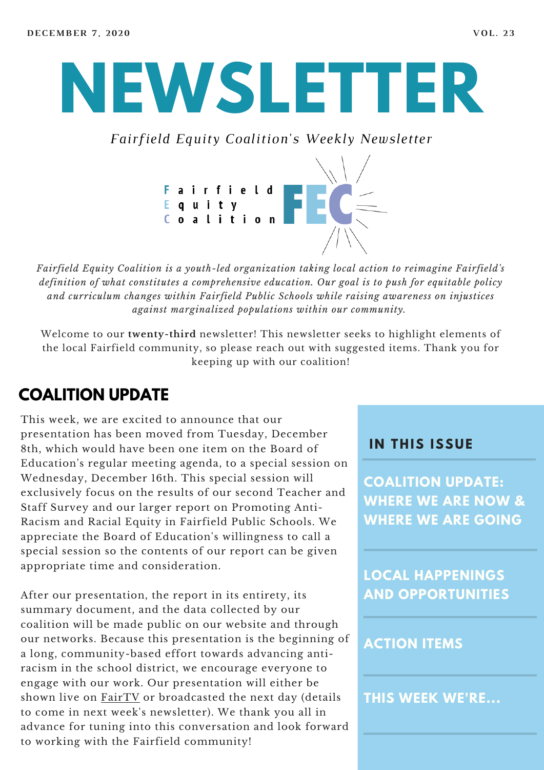# **NEWSLETTER**

*Fairfield Equity Coalition's Weekly Newsletter*



*Fairfield Equity Coalition is a youth-led organization taking local action to reimagine Fairfield's definition of what constitutes a comprehensive education. Our goal is to push for equitable policy and curriculum changes within Fairfield Public Schools while raising awareness on injustices against marginalized populations within our community.*

Welcome to our **twenty-third** newsletter! This newsletter seeks to highlight elements of the local Fairfield community, so please reach out with suggested items. Thank you for keeping up with our coalition!

#### **COALITION UPDATE**

This week, we are excited to announce that our presentation has been moved from Tuesday, December 8th, which would have been one item on the Board of Education's regular meeting agenda, to a special session on Wednesday, December 16th. This special session will exclusively focus on the results of our second Teacher and Staff Survey and our larger report on Promoting Anti-Racism and Racial Equity in Fairfield Public Schools. We appreciate the Board of Education's willingness to call a special session so the contents of our report can be given appropriate time and consideration.

After our presentation, the report in its entirety, its summary document, and the data collected by our coalition will be made public on our website and through our networks. Because this presentation is the beginning of a long, community-based effort towards advancing antiracism in the school district, we encourage everyone to engage with our work. Our presentation will either be shown live on [FairTV](https://fairfieldct.org/fairtv/government) or broadcasted the next day (details to come in next week's newsletter). We thank you all in advance for tuning into this conversation and look forward to working with the Fairfield community!

#### **I N THIS ISSUE**

**COALITION UPDATE: WHERE WE ARE NOW & WHERE WE ARE GOING**

**LOCAL HAPPENINGS AND OPPORTUNITIES**

#### **ACTION ITEMS**

**THIS WEEK WE'RE...**